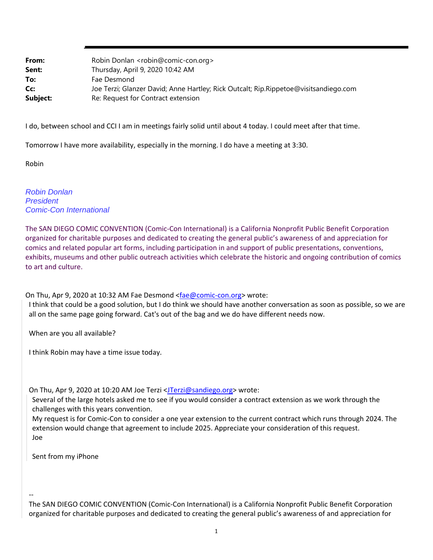| From:    | Robin Donlan <robin@comic-con.org></robin@comic-con.org>                             |
|----------|--------------------------------------------------------------------------------------|
| Sent:    | Thursday, April 9, 2020 10:42 AM                                                     |
| To:      | Fae Desmond                                                                          |
| Cc:      | Joe Terzi; Glanzer David; Anne Hartley; Rick Outcalt; Rip.Rippetoe@visitsandiego.com |
| Subject: | Re: Request for Contract extension                                                   |

I do, between school and CCI I am in meetings fairly solid until about 4 today. I could meet after that time.

Tomorrow I have more availability, especially in the morning. I do have a meeting at 3:30.

Robin

*Robin Donlan President Comic-Con International*

The SAN DIEGO COMIC CONVENTION (Comic‐Con International) is a California Nonprofit Public Benefit Corporation organized for charitable purposes and dedicated to creating the general public's awareness of and appreciation for comics and related popular art forms, including participation in and support of public presentations, conventions, exhibits, museums and other public outreach activities which celebrate the historic and ongoing contribution of comics to art and culture.

On Thu, Apr 9, 2020 at 10:32 AM Fae Desmond <fae@comic-con.org> wrote:

I think that could be a good solution, but I do think we should have another conversation as soon as possible, so we are all on the same page going forward. Cat's out of the bag and we do have different needs now.

When are you all available?

I think Robin may have a time issue today.

On Thu, Apr 9, 2020 at 10:20 AM Joe Terzi <JTerzi@sandiego.org> wrote:

Several of the large hotels asked me to see if you would consider a contract extension as we work through the challenges with this years convention.

My request is for Comic‐Con to consider a one year extension to the current contract which runs through 2024. The extension would change that agreement to include 2025. Appreciate your consideration of this request. Joe

Sent from my iPhone

‐‐

The SAN DIEGO COMIC CONVENTION (Comic‐Con International) is a California Nonprofit Public Benefit Corporation organized for charitable purposes and dedicated to creating the general public's awareness of and appreciation for